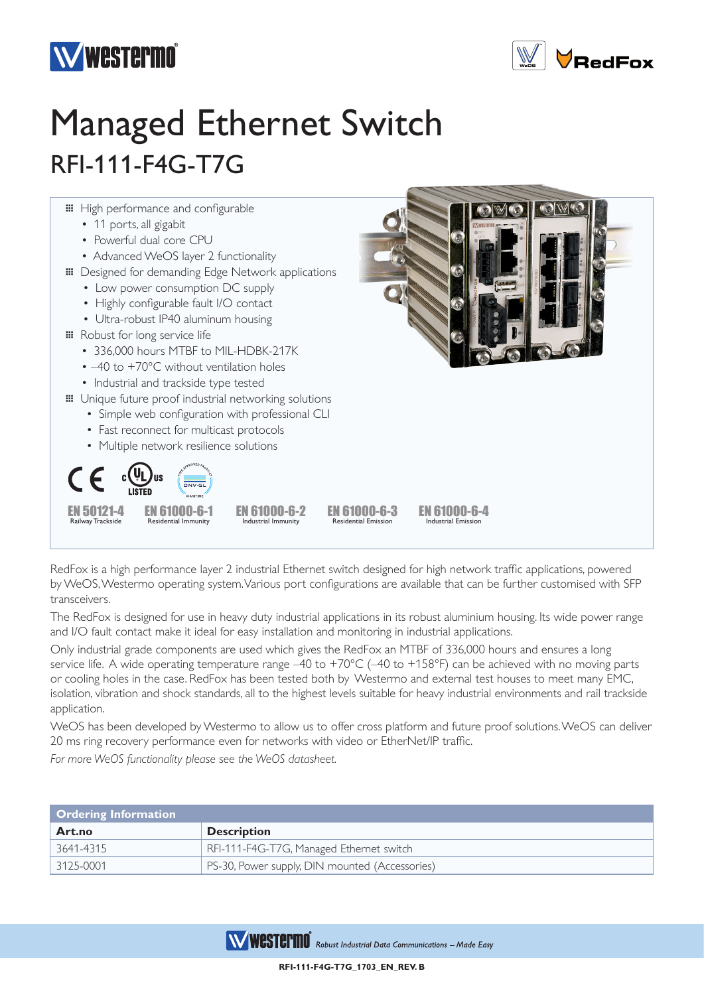



## Managed Ethernet Switch RFI-111-F4G-T7G



RedFox is a high performance layer 2 industrial Ethernet switch designed for high network traffic applications, powered by WeOS, Westermo operating system. Various port configurations are available that can be further customised with SFP transceivers.

The RedFox is designed for use in heavy duty industrial applications in its robust aluminium housing. Its wide power range and I/O fault contact make it ideal for easy installation and monitoring in industrial applications.

Only industrial grade components are used which gives the RedFox an MTBF of 336,000 hours and ensures a long service life. A wide operating temperature range -40 to +70°C (-40 to +158°F) can be achieved with no moving parts or cooling holes in the case. RedFox has been tested both by Westermo and external test houses to meet many EMC, isolation, vibration and shock standards, all to the highest levels suitable for heavy industrial environments and rail trackside application.

WeOS has been developed by Westermo to allow us to offer cross platform and future proof solutions. WeOS can deliver 20 ms ring recovery performance even for networks with video or EtherNet/IP traffic.

*For more WeOS functionality please see the WeOS datasheet.*

| <b>Ordering Information</b> |                                                |
|-----------------------------|------------------------------------------------|
| Art.no                      | <b>Description</b>                             |
| 3641-4315                   | RFI-111-F4G-T7G, Managed Ethernet switch       |
| 3125-0001                   | PS-30, Power supply, DIN mounted (Accessories) |